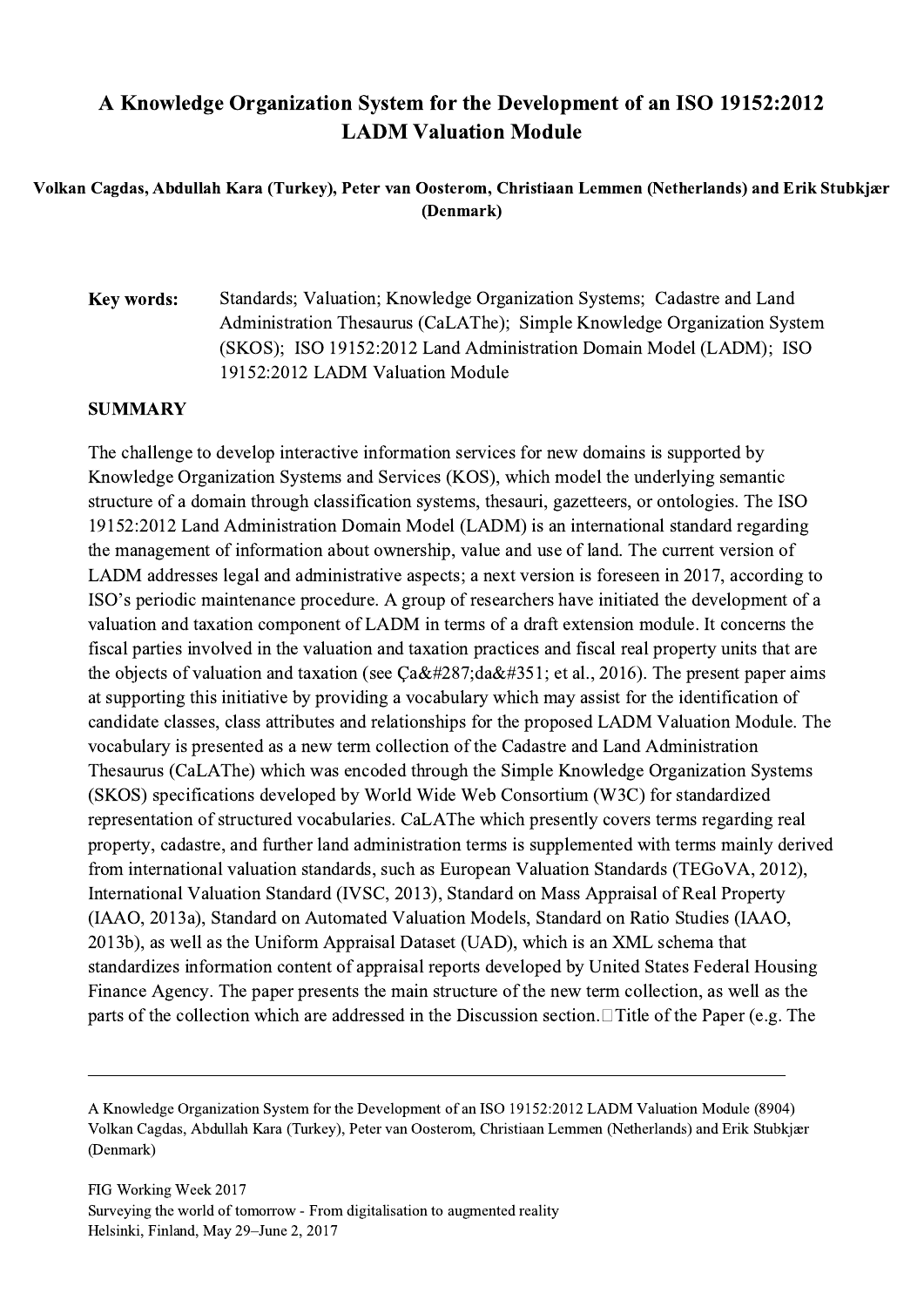## A Knowledge Organization System for the Development of an ISO 19152:2012 LADM Valuation Module

## Volkan Cagdas, Abdullah Kara (Turkey), Peter van Oosterom, Christiaan Lemmen (Netherlands) and Erik Stubkjær (Denmark)

## Key words: Standards; Valuation; Knowledge Organization Systems; Cadastre and Land Administration Thesaurus (CaLAThe); Simple Knowledge Organization System (SKOS); ISO 19152:2012 Land Administration Domain Model (LADM); ISO 19152:2012 LADM Valuation Module

## SUMMARY

The challenge to develop interactive information services for new domains is supported by Knowledge Organization Systems and Services (KOS), which model the underlying semantic structure of a domain through classification systems, thesauri, gazetteers, or ontologies. The ISO 19152:2012 Land Administration Domain Model (LADM) is an international standard regarding the management of information about ownership, value and use of land. The current version of LADM addresses legal and administrative aspects; a next version is foreseen in 2017, according to ISO's periodic maintenance procedure. A group of researchers have initiated the development of a valuation and taxation component of LADM in terms of a draft extension module. It concerns the fiscal parties involved in the valuation and taxation practices and fiscal real property units that are the objects of valuation and taxation (see  $Cağ daş$ ; et al., 2016). The present paper aims at supporting this initiative by providing a vocabulary which may assist for the identification of candidate classes, class attributes and relationships for the proposed LADM Valuation Module. The vocabulary is presented as a new term collection of the Cadastre and Land Administration Thesaurus (CaLAThe) which was encoded through the Simple Knowledge Organization Systems (SKOS) specifications developed by World Wide Web Consortium (W3C) for standardized representation of structured vocabularies. CaLAThe which presently covers terms regarding real property, cadastre, and further land administration terms is supplemented with terms mainly derived from international valuation standards, such as European Valuation Standards (TEGoVA, 2012), International Valuation Standard (IVSC, 2013), Standard on Mass Appraisal of Real Property (IAAO, 2013a), Standard on Automated Valuation Models, Standard on Ratio Studies (IAAO, 2013b), as well as the Uniform Appraisal Dataset (UAD), which is an XML schema that standardizes information content of appraisal reports developed by United States Federal Housing Finance Agency. The paper presents the main structure of the new term collection, as well as the parts of the collection which are addressed in the Discussion section.  $\Box$  Title of the Paper (e.g. The

 $\mathcal{L}_\mathcal{L} = \{ \mathcal{L}_\mathcal{L} = \{ \mathcal{L}_\mathcal{L} = \{ \mathcal{L}_\mathcal{L} = \{ \mathcal{L}_\mathcal{L} = \{ \mathcal{L}_\mathcal{L} = \{ \mathcal{L}_\mathcal{L} = \{ \mathcal{L}_\mathcal{L} = \{ \mathcal{L}_\mathcal{L} = \{ \mathcal{L}_\mathcal{L} = \{ \mathcal{L}_\mathcal{L} = \{ \mathcal{L}_\mathcal{L} = \{ \mathcal{L}_\mathcal{L} = \{ \mathcal{L}_\mathcal{L} = \{ \mathcal{L}_\mathcal{$ 

A Knowledge Organization System for the Development of an ISO 19152:2012 LADM Valuation Module (8904) Volkan Cagdas, Abdullah Kara (Turkey), Peter van Oosterom, Christiaan Lemmen (Netherlands) and Erik Stubkjær (Denmark)